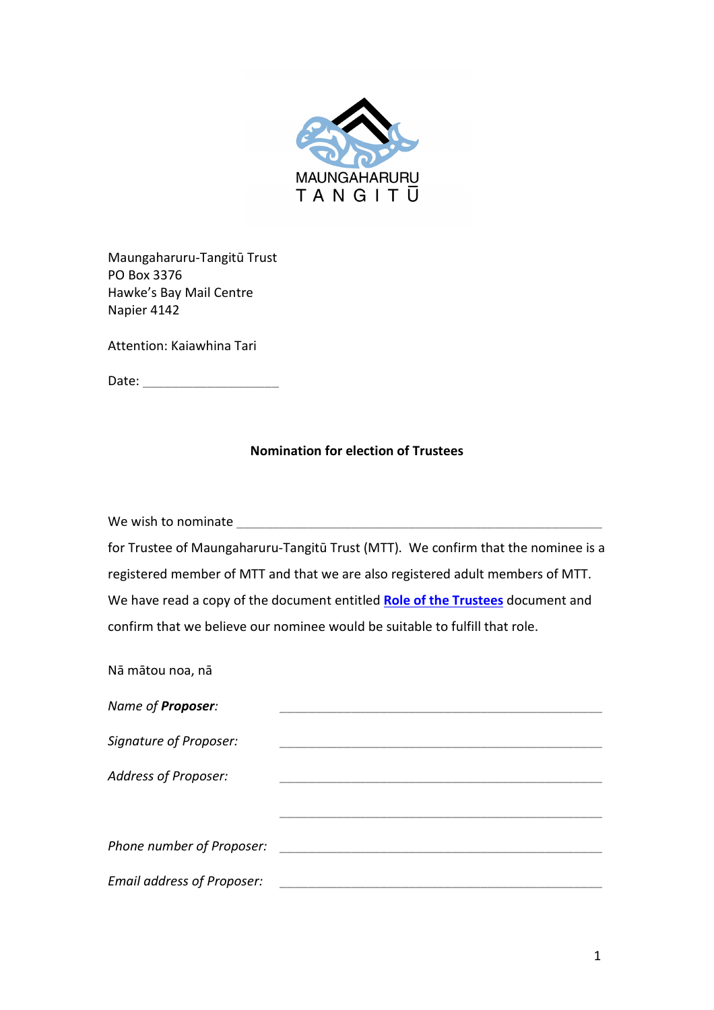

Maungaharuru-Tangitū Trust PO Box 3376 Hawke's Bay Mail Centre Napier 4142

Attention: Kaiawhina Tari

Date: \_\_\_\_\_\_\_\_\_\_\_\_\_\_\_\_\_\_\_

### **Nomination for election of Trustees**

We wish to nominate \_\_\_\_\_\_\_\_\_\_\_\_\_\_\_\_\_\_\_\_\_\_\_\_\_\_\_\_\_\_\_\_\_\_\_\_\_\_\_\_\_\_\_\_\_\_\_\_\_\_\_

for Trustee of Maungaharuru-Tangitū Trust (MTT). We confirm that the nominee is a registered member of MTT and that we are also registered adult members of MTT. We have read a copy of the document entitled **[Role of the Trustees](https://tangoio.maori.nz/wp-content/uploads/2021/04/Role-of-the-Trustees_2021.pdf)** document and confirm that we believe our nominee would be suitable to fulfill that role.

Nā mātou noa, nā

| Name of <b>Proposer:</b>          |  |
|-----------------------------------|--|
| <b>Signature of Proposer:</b>     |  |
| <b>Address of Proposer:</b>       |  |
|                                   |  |
| Phone number of Proposer:         |  |
| <b>Email address of Proposer:</b> |  |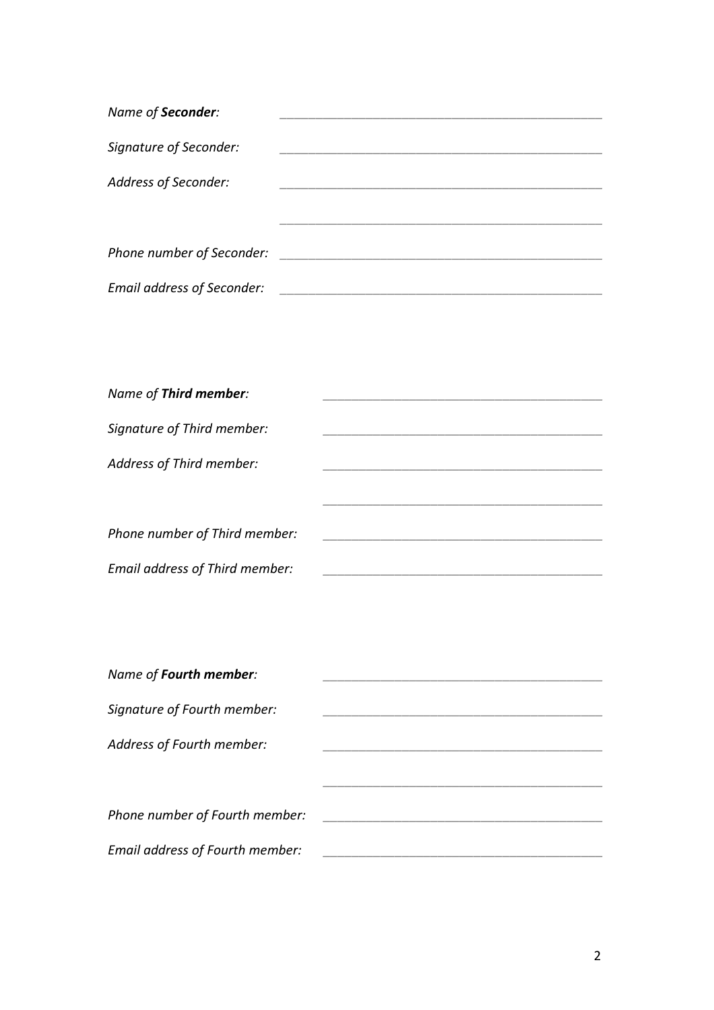| Name of Seconder:                 |  |
|-----------------------------------|--|
| Signature of Seconder:            |  |
|                                   |  |
| Address of Seconder:              |  |
|                                   |  |
|                                   |  |
| Phone number of Seconder:         |  |
|                                   |  |
| <b>Email address of Seconder:</b> |  |

| Name of Third member:          |  |
|--------------------------------|--|
| Signature of Third member:     |  |
| Address of Third member:       |  |
|                                |  |
| Phone number of Third member:  |  |
| Email address of Third member: |  |

| Name of Fourth member:          |  |
|---------------------------------|--|
|                                 |  |
| Signature of Fourth member:     |  |
| Address of Fourth member:       |  |
|                                 |  |
|                                 |  |
| Phone number of Fourth member:  |  |
|                                 |  |
| Email address of Fourth member: |  |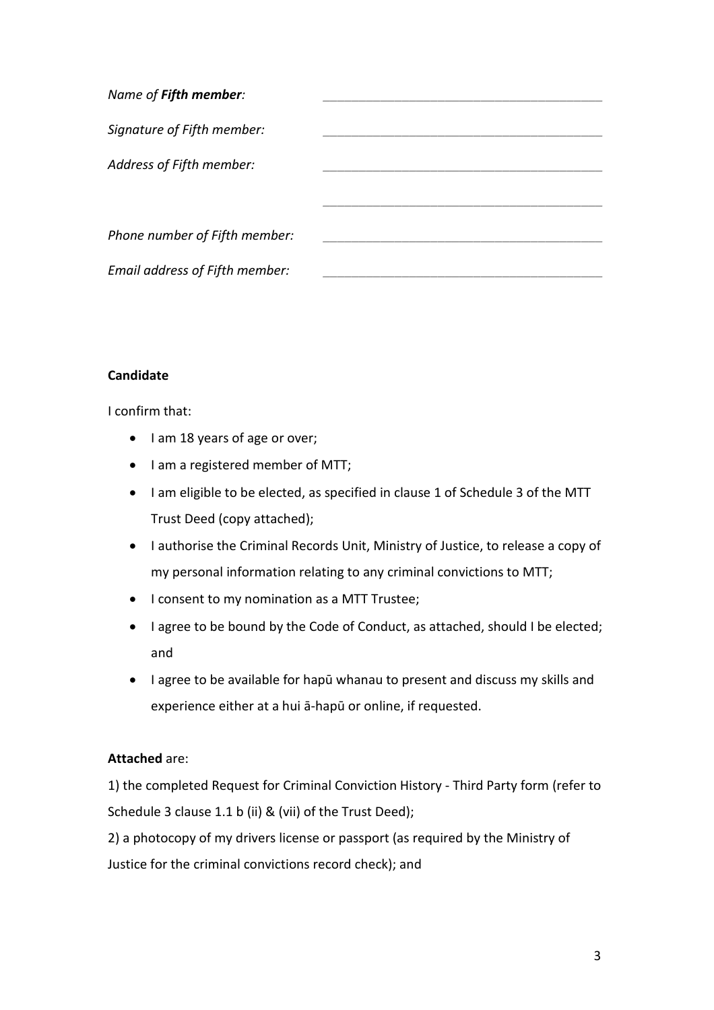| Name of Fifth member:          |  |
|--------------------------------|--|
| Signature of Fifth member:     |  |
| Address of Fifth member:       |  |
|                                |  |
| Phone number of Fifth member:  |  |
| Email address of Fifth member: |  |

### **Candidate**

I confirm that:

- I am 18 years of age or over;
- I am a registered member of MTT;
- I am eligible to be elected, as specified in clause 1 of Schedule 3 of the MTT Trust Deed (copy attached);
- I authorise the Criminal Records Unit, Ministry of Justice, to release a copy of my personal information relating to any criminal convictions to MTT;
- I consent to my nomination as a MTT Trustee;
- I agree to be bound by the Code of Conduct, as attached, should I be elected; and
- I agree to be available for hapū whanau to present and discuss my skills and experience either at a hui ā-hapū or online, if requested.

### **Attached** are:

1) the completed Request for Criminal Conviction History - Third Party form (refer to Schedule 3 clause 1.1 b (ii) & (vii) of the Trust Deed);

2) a photocopy of my drivers license or passport (as required by the Ministry of Justice for the criminal convictions record check); and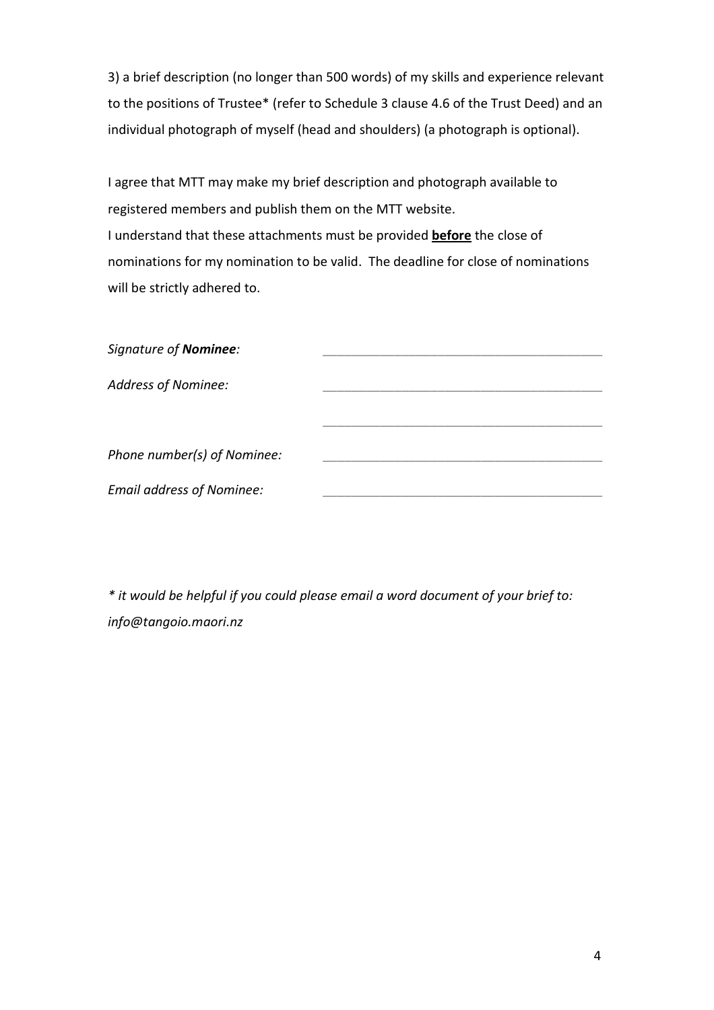3) a brief description (no longer than 500 words) of my skills and experience relevant to the positions of Trustee\* (refer to Schedule 3 clause 4.6 of the Trust Deed) and an individual photograph of myself (head and shoulders) (a photograph is optional).

I agree that MTT may make my brief description and photograph available to registered members and publish them on the MTT website. I understand that these attachments must be provided **before** the close of nominations for my nomination to be valid. The deadline for close of nominations will be strictly adhered to.

| Signature of Nominee:            |  |
|----------------------------------|--|
| <b>Address of Nominee:</b>       |  |
|                                  |  |
| Phone number(s) of Nominee:      |  |
| <b>Email address of Nominee:</b> |  |

*\* it would be helpful if you could please email a word document of your brief to: info@tangoio.maori.nz*